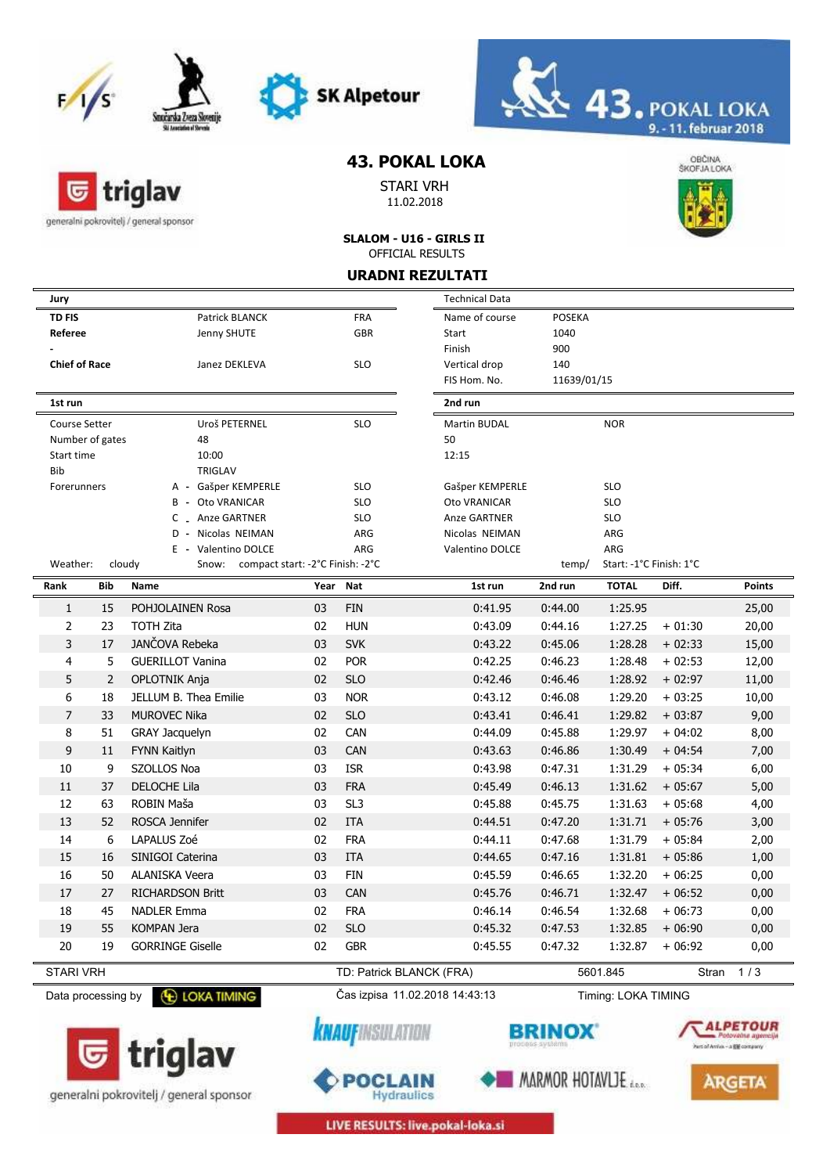

triglav

generalni pokrovitelj / general sponsor

匠





## **43. POKAL LOKA**

STARI VRH 11.02.2018



**SLALOM - U16 - GIRLS II** OFFICIAL RESULTS

**URADNI REZULTATI**

| Jury                 |     |                                                     |          |                                          | <b>Technical Data</b>                    |                                    |                         |                               |                                                |
|----------------------|-----|-----------------------------------------------------|----------|------------------------------------------|------------------------------------------|------------------------------------|-------------------------|-------------------------------|------------------------------------------------|
| <b>TD FIS</b>        |     | Patrick BLANCK                                      |          | <b>FRA</b>                               | Name of course                           | <b>POSEKA</b>                      |                         |                               |                                                |
| Referee              |     | Jenny SHUTE                                         |          | <b>GBR</b>                               | Start                                    | 1040                               |                         |                               |                                                |
|                      |     |                                                     |          |                                          | Finish                                   | 900                                |                         |                               |                                                |
| <b>Chief of Race</b> |     | Janez DEKLEVA                                       |          | <b>SLO</b>                               | Vertical drop                            | 140                                |                         |                               |                                                |
|                      |     |                                                     |          |                                          | FIS Hom. No.                             | 11639/01/15                        |                         |                               |                                                |
| 1st run              |     |                                                     |          |                                          | 2nd run                                  |                                    |                         |                               |                                                |
| Course Setter        |     | Uroš PETERNEL                                       |          | <b>SLO</b>                               | Martin BUDAL                             |                                    | <b>NOR</b>              |                               |                                                |
| Number of gates      |     | 48                                                  |          |                                          | 50                                       |                                    |                         |                               |                                                |
| Start time           |     | 10:00                                               |          |                                          | 12:15                                    |                                    |                         |                               |                                                |
| Bib                  |     | <b>TRIGLAV</b>                                      |          |                                          |                                          |                                    |                         |                               |                                                |
| Forerunners          |     | A - Gašper KEMPERLE                                 |          | <b>SLO</b>                               | Gašper KEMPERLE                          |                                    | <b>SLO</b>              |                               |                                                |
|                      |     | Oto VRANICAR<br>B -                                 |          | <b>SLO</b>                               | Oto VRANICAR                             |                                    | <b>SLO</b>              |                               |                                                |
|                      |     | C _ Anze GARTNER                                    |          | <b>SLO</b>                               | <b>Anze GARTNER</b>                      |                                    | <b>SLO</b>              |                               |                                                |
|                      |     | Nicolas NEIMAN<br>D -<br>E - Valentino DOLCE        |          | ARG<br>ARG                               | Nicolas NEIMAN<br><b>Valentino DOLCE</b> |                                    | ARG<br>ARG              |                               |                                                |
| Weather:             |     | cloudy<br>compact start: -2°C Finish: -2°C<br>Snow: |          |                                          |                                          | temp/                              | Start: -1°C Finish: 1°C |                               |                                                |
| Rank                 | Bib | Name                                                | Year Nat |                                          | 1st run                                  | 2nd run                            | <b>TOTAL</b>            | Diff.                         | <b>Points</b>                                  |
| 1                    | 15  | POHJOLAINEN Rosa                                    | 03       | <b>FIN</b>                               | 0:41.95                                  | 0:44.00                            | 1:25.95                 |                               | 25,00                                          |
| 2                    | 23  | <b>TOTH Zita</b>                                    | 02       | <b>HUN</b>                               | 0:43.09                                  | 0:44.16                            | 1:27.25                 | $+01:30$                      | 20,00                                          |
| 3                    | 17  | JANČOVA Rebeka                                      | 03       | <b>SVK</b>                               | 0:43.22                                  | 0:45.06                            | 1:28.28                 | $+02:33$                      | 15,00                                          |
| 4                    | 5   | <b>GUERILLOT Vanina</b>                             | 02       | <b>POR</b>                               | 0:42.25                                  | 0:46.23                            | 1:28.48                 | $+02:53$                      | 12,00                                          |
| 5                    | 2   | OPLOTNIK Anja                                       | 02       | <b>SLO</b>                               | 0:42.46                                  | 0:46.46                            | 1:28.92                 | $+02:97$                      | 11,00                                          |
| 6                    | 18  | JELLUM B. Thea Emilie                               | 03       | <b>NOR</b>                               | 0:43.12                                  | 0:46.08                            | 1:29.20                 | $+03:25$                      | 10,00                                          |
| $\overline{7}$       | 33  | <b>MUROVEC Nika</b>                                 | 02       | <b>SLO</b>                               | 0:43.41                                  | 0:46.41                            | 1:29.82                 | $+03:87$                      | 9,00                                           |
| 8                    | 51  | <b>GRAY Jacquelyn</b>                               | 02       | CAN                                      | 0:44.09                                  | 0:45.88                            | 1:29.97                 | $+04:02$                      | 8,00                                           |
| 9                    | 11  | <b>FYNN Kaitlyn</b>                                 | 03       | <b>CAN</b>                               | 0:43.63                                  | 0:46.86                            | 1:30.49                 | $+04:54$                      | 7,00                                           |
| 10                   | 9   | SZOLLOS Noa                                         | 03       | <b>ISR</b>                               | 0:43.98                                  | 0:47.31                            | 1:31.29                 | $+05:34$                      | 6,00                                           |
|                      |     |                                                     |          |                                          |                                          |                                    |                         |                               |                                                |
| 11                   | 37  | <b>DELOCHE Lila</b>                                 | 03       | <b>FRA</b>                               | 0:45.49                                  | 0:46.13                            | 1:31.62                 | $+05:67$                      | 5,00                                           |
| 12                   | 63  | ROBIN Maša                                          | 03       | SL <sub>3</sub>                          | 0:45.88                                  | 0:45.75                            | 1:31.63                 | $+05:68$                      | 4,00                                           |
| 13                   | 52  | ROSCA Jennifer                                      | 02       | <b>ITA</b>                               | 0:44.51                                  | 0:47.20                            | 1:31.71                 | $+05:76$                      | 3,00                                           |
| 14                   | 6   | LAPALUS Zoé                                         | 02       | <b>FRA</b>                               | 0:44.11                                  | 0:47.68                            | 1:31.79                 | $+05:84$                      | 2,00                                           |
| 15                   | 16  | SINIGOI Caterina                                    | 03       | <b>ITA</b>                               | 0:44.65                                  | 0:47.16                            | 1:31.81                 | $+05:86$                      | 1,00                                           |
| 16                   | 50  | ALANISKA Veera                                      | 03       | <b>FIN</b>                               | 0:45.59                                  | 0:46.65                            | 1:32.20                 | $+06:25$                      | 0,00                                           |
| 17                   | 27  | <b>RICHARDSON Britt</b>                             | 03       | CAN                                      | 0:45.76                                  | 0:46.71                            | 1:32.47                 | $+06:52$                      | 0,00                                           |
| 18                   | 45  | NADLER Emma                                         | 02       | <b>FRA</b>                               | 0:46.14                                  | 0:46.54                            | 1:32.68                 | $+06:73$                      | 0,00                                           |
| 19                   | 55  | <b>KOMPAN Jera</b>                                  | 02       | <b>SLO</b>                               | 0:45.32                                  | 0:47.53                            | 1:32.85                 | $+06:90$                      | 0,00                                           |
| 20                   | 19  | <b>GORRINGE Giselle</b>                             | 02       | <b>GBR</b>                               | 0:45.55                                  | 0:47.32                            | 1:32.87                 | $+06:92$                      | 0,00                                           |
| <b>STARI VRH</b>     |     |                                                     |          | TD: Patrick BLANCK (FRA)                 |                                          |                                    | 5601.845                | Stran                         | 1/3                                            |
| Data processing by   |     | <b>E LOKA TIMING</b>                                |          | Čas izpisa 11.02.2018 14:43:13           |                                          |                                    | Timing: LOKA TIMING     |                               |                                                |
|                      |     | triglav                                             |          | <i><b>KNAUFINSULATION</b></i><br>POCLAIN |                                          | process-systems<br>MARMOR HOTAVLJE |                         | hart of Antiox - a EM company | ALPETOUR<br>Potoveme agencije<br><b>ARGETA</b> |

generalni pokrovitelj / general sponsor



**Hydraulics**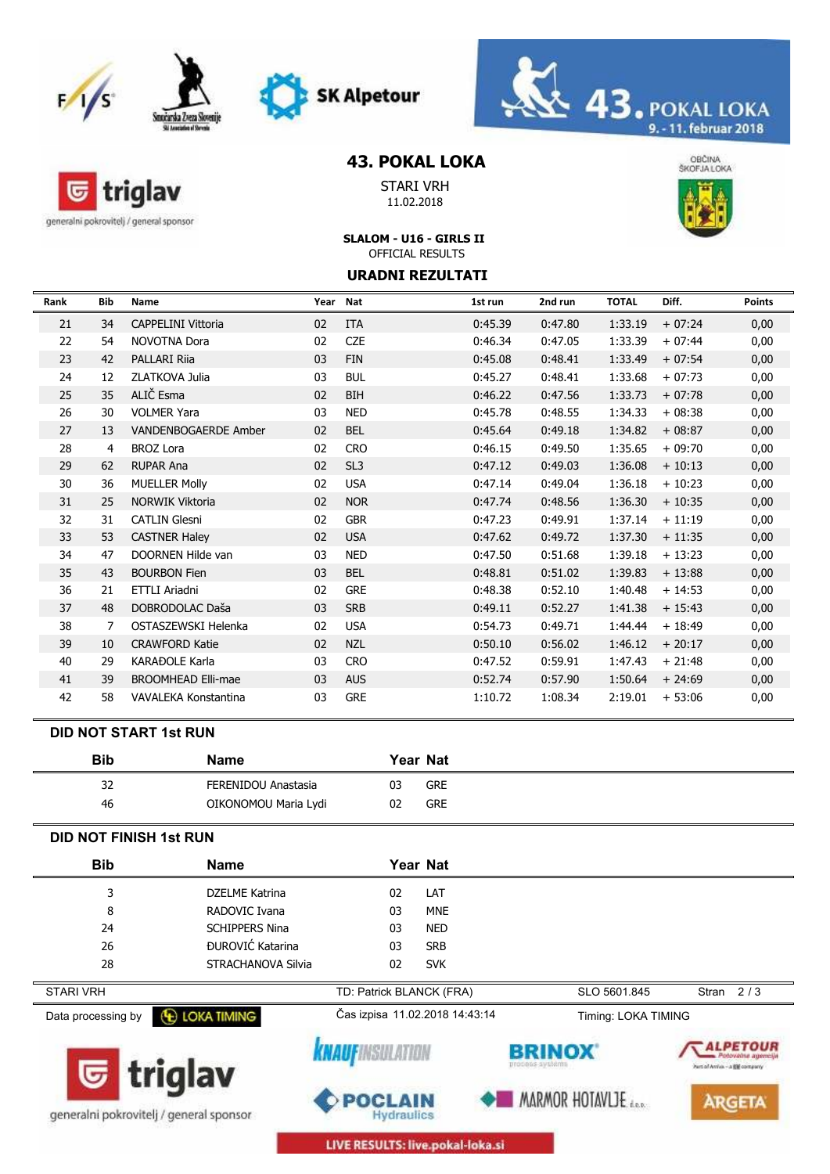





# **43. POKAL LOKA**

STARI VRH 11.02.2018



generalni pokrovitelj / general sponsor

匠

triglav

## **SLALOM - U16 - GIRLS II** OFFICIAL RESULTS

#### **URADNI REZULTATI**

| Rank | Bib | Name                      | Year Nat |                 | 1st run | 2nd run | <b>TOTAL</b> | Diff.    | <b>Points</b> |
|------|-----|---------------------------|----------|-----------------|---------|---------|--------------|----------|---------------|
| 21   | 34  | <b>CAPPELINI Vittoria</b> | 02       | <b>ITA</b>      | 0:45.39 | 0:47.80 | 1:33.19      | $+07:24$ | 0,00          |
| 22   | 54  | <b>NOVOTNA Dora</b>       | 02       | <b>CZE</b>      | 0:46.34 | 0:47.05 | 1:33.39      | $+07:44$ | 0,00          |
| 23   | 42  | <b>PALLARI Rija</b>       | 03       | <b>FIN</b>      | 0:45.08 | 0:48.41 | 1:33.49      | $+07:54$ | 0,00          |
| 24   | 12  | ZLATKOVA Julia            | 03       | <b>BUL</b>      | 0:45.27 | 0:48.41 | 1:33.68      | $+07:73$ | 0,00          |
| 25   | 35  | ALIČ Esma                 | 02       | <b>BIH</b>      | 0:46.22 | 0:47.56 | 1:33.73      | $+07:78$ | 0,00          |
| 26   | 30  | <b>VOLMER Yara</b>        | 03       | <b>NED</b>      | 0:45.78 | 0:48.55 | 1:34.33      | $+08:38$ | 0,00          |
| 27   | 13  | VANDENBOGAERDE Amber      | 02       | <b>BEL</b>      | 0:45.64 | 0:49.18 | 1:34.82      | $+08:87$ | 0,00          |
| 28   | 4   | <b>BROZ Lora</b>          | 02       | <b>CRO</b>      | 0:46.15 | 0:49.50 | 1:35.65      | $+09:70$ | 0,00          |
| 29   | 62  | <b>RUPAR Ana</b>          | 02       | SL <sub>3</sub> | 0:47.12 | 0:49.03 | 1:36.08      | $+10:13$ | 0,00          |
| 30   | 36  | <b>MUELLER Molly</b>      | 02       | <b>USA</b>      | 0:47.14 | 0:49.04 | 1:36.18      | $+10:23$ | 0,00          |
| 31   | 25  | <b>NORWIK Viktoria</b>    | 02       | <b>NOR</b>      | 0:47.74 | 0:48.56 | 1:36.30      | $+10:35$ | 0,00          |
| 32   | 31  | <b>CATLIN Glesni</b>      | 02       | <b>GBR</b>      | 0:47.23 | 0:49.91 | 1:37.14      | $+11:19$ | 0,00          |
| 33   | 53  | <b>CASTNER Haley</b>      | 02       | <b>USA</b>      | 0:47.62 | 0:49.72 | 1:37.30      | $+11:35$ | 0,00          |
| 34   | 47  | DOORNEN Hilde van         | 03       | <b>NED</b>      | 0:47.50 | 0:51.68 | 1:39.18      | $+13:23$ | 0,00          |
| 35   | 43  | <b>BOURBON Fien</b>       | 03       | <b>BEL</b>      | 0:48.81 | 0:51.02 | 1:39.83      | $+13:88$ | 0,00          |
| 36   | 21  | ETTLI Ariadni             | 02       | <b>GRE</b>      | 0:48.38 | 0:52.10 | 1:40.48      | $+14:53$ | 0,00          |
| 37   | 48  | DOBRODOLAC Daša           | 03       | <b>SRB</b>      | 0:49.11 | 0:52.27 | 1:41.38      | $+15:43$ | 0,00          |
| 38   | 7   | OSTASZEWSKI Helenka       | 02       | <b>USA</b>      | 0:54.73 | 0:49.71 | 1:44.44      | $+18:49$ | 0,00          |
| 39   | 10  | <b>CRAWFORD Katie</b>     | 02       | <b>NZL</b>      | 0:50.10 | 0:56.02 | 1:46.12      | $+20:17$ | 0,00          |
| 40   | 29  | <b>KARAĐOLE Karla</b>     | 03       | <b>CRO</b>      | 0:47.52 | 0:59.91 | 1:47.43      | $+21:48$ | 0,00          |
| 41   | 39  | <b>BROOMHEAD Elli-mae</b> | 03       | <b>AUS</b>      | 0:52.74 | 0:57.90 | 1:50.64      | $+24:69$ | 0,00          |
| 42   | 58  | VAVALEKA Konstantina      | 03       | <b>GRE</b>      | 1:10.72 | 1:08.34 | 2:19.01      | $+53:06$ | 0,00          |

#### **DID NOT START 1st RUN**

| Bib | <b>Name</b>          | Year Nat         |  |
|-----|----------------------|------------------|--|
| 32  | FERENIDOU Anastasia  | 03<br><b>GRE</b> |  |
| 46  | OIKONOMOU Maria Lydi | 02<br><b>GRE</b> |  |

#### **DID NOT FINISH 1st RUN**

| <b>Bib</b>                              | <b>Name</b>           | Year Nat                            |            |                                  |                                                                              |
|-----------------------------------------|-----------------------|-------------------------------------|------------|----------------------------------|------------------------------------------------------------------------------|
| 3                                       | <b>DZELME Katrina</b> | 02                                  | LAT        |                                  |                                                                              |
| 8                                       | RADOVIC Ivana         | 03                                  | <b>MNE</b> |                                  |                                                                              |
| 24                                      | <b>SCHIPPERS Nina</b> | 03                                  | <b>NED</b> |                                  |                                                                              |
| 26                                      | ĐUROVIĆ Katarina      | 03                                  | <b>SRB</b> |                                  |                                                                              |
| 28                                      | STRACHANOVA Silvia    | 02                                  | <b>SVK</b> |                                  |                                                                              |
| <b>STARI VRH</b>                        |                       | TD: Patrick BLANCK (FRA)            |            | SLO 5601.845                     | Stran $2/3$                                                                  |
| Data processing by                      | <b>E LOKA TIMING</b>  | Čas izpisa 11.02.2018 14:43:14      |            | Timing: LOKA TIMING              |                                                                              |
|                                         | <b>G</b> triglav      | <b>KNAUFINSULATION</b>              |            | <b>BRINOX</b><br>process systems | <i><b>ALPETOUR</b></i><br>Potoveme agencije<br>Part of Antiox - a EM company |
| generalni pokrovitelj / general sponsor |                       | <b>POCLAIN</b><br><b>Hydraulics</b> |            | MARMOR HOTAVLJE                  | <b>ARGETA</b>                                                                |

LIVE RESULTS: live.pokal-loka.si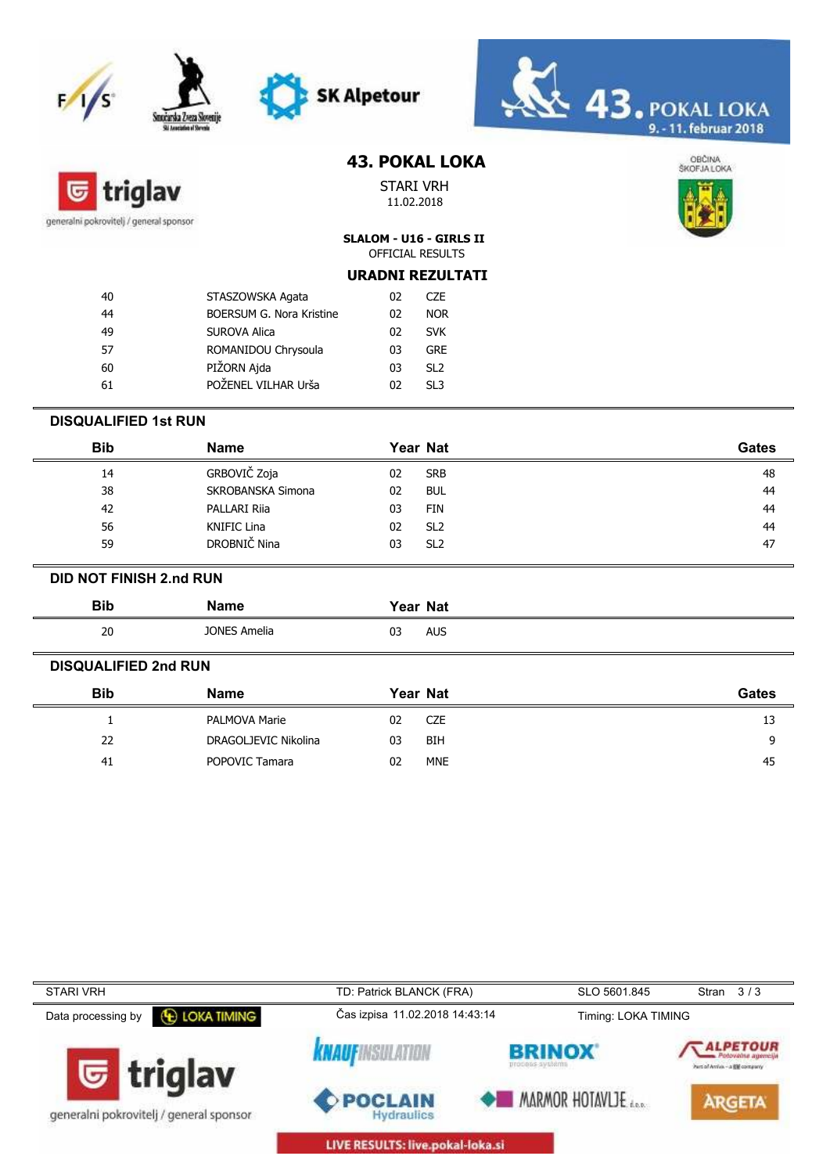# **SK Alpetour**  $\frac{1}{s}$



# **43. POKAL LOKA**



STARI VRH 11.02.2018



**SLALOM - U16 - GIRLS II** OFFICIAL RESULTS

|  | <b>URADNI REZULTATI</b> |
|--|-------------------------|
|  |                         |

| 40 | STASZOWSKA Agata         | 02 | CZE.            |
|----|--------------------------|----|-----------------|
| 44 | BOERSUM G. Nora Kristine | 02 | <b>NOR</b>      |
| 49 | <b>SUROVA Alica</b>      | 02 | <b>SVK</b>      |
| 57 | ROMANIDOU Chrysoula      | 03 | <b>GRF</b>      |
| 60 | PIŽORN Ajda              | 03 | SL <sub>2</sub> |
| 61 | POŽENEL VILHAR Urša      | 02 | SL3             |
|    |                          |    |                 |

#### **DISQUALIFIED 1st RUN**

| Bib | <b>Name</b>              | Year Nat              | <b>Gates</b> |
|-----|--------------------------|-----------------------|--------------|
| 14  | GRBOVIČ Zoja             | <b>SRB</b><br>02      | 48           |
| 38  | <b>SKROBANSKA Simona</b> | <b>BUL</b><br>02      | 44           |
| 42  | PALLARI Rija             | FIN<br>03             | 44           |
| 56  | KNIFIC Lina              | SL <sub>2</sub><br>02 | 44           |
| 59  | DROBNIČ Nina             | SL <sub>2</sub><br>03 | 47           |

#### **DID NOT FINISH 2.nd RUN**

| <b>Bib</b> | lamc                | <b>Year Nat</b>  |  |
|------------|---------------------|------------------|--|
| 20<br>zu   | <b>JONES Amelia</b> | AUS<br>U3<br>$-$ |  |

#### **DISQUALIFIED 2nd RUN**

| <b>Bib</b> | <b>Name</b>          | Year Nat         | Gates |
|------------|----------------------|------------------|-------|
|            | PALMOVA Marie        | <b>CZE</b><br>02 | 13    |
| 22         | DRAGOLJEVIC Nikolina | <b>BIH</b><br>03 |       |
| 41         | POPOVIC Tamara       | <b>MNE</b><br>02 | 45    |

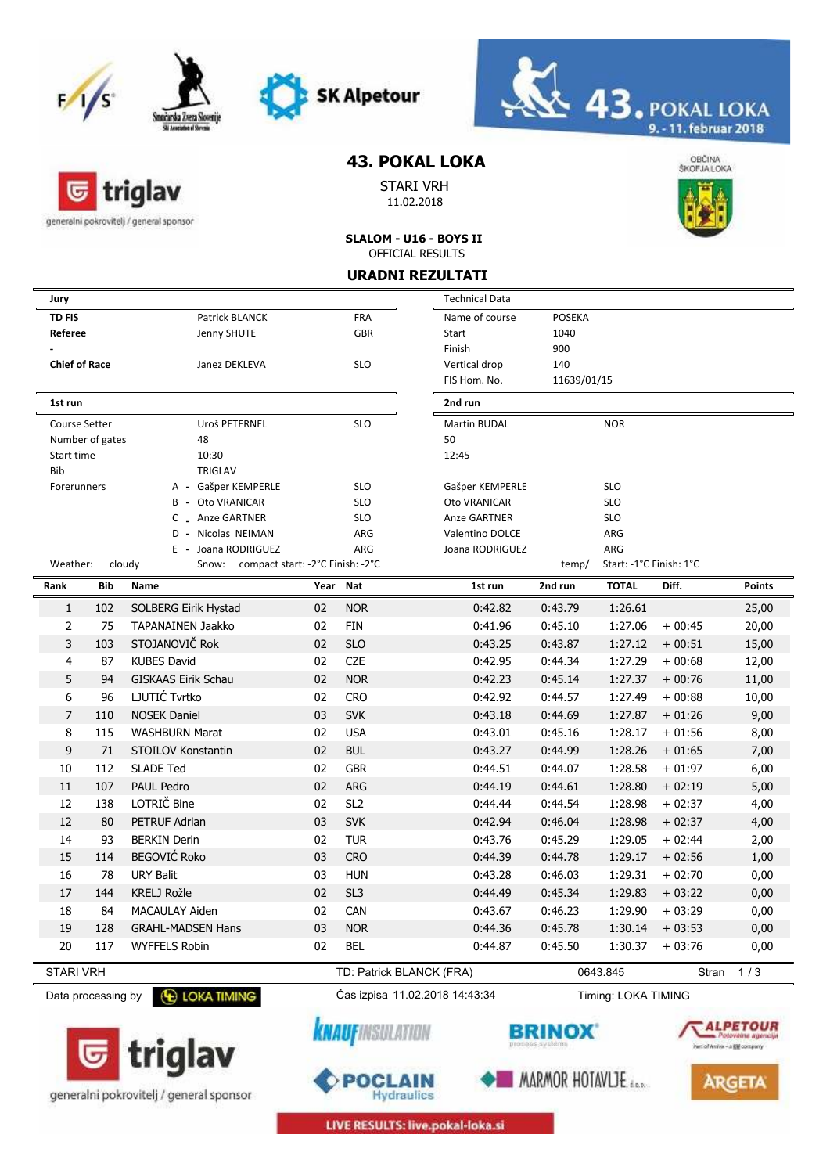

triglav

generalni pokrovitelj / general sponsor

匠





# **43. POKAL LOKA**

STARI VRH 11.02.2018



**SLALOM - U16 - BOYS II** OFFICIAL RESULTS

### **URADNI REZULTATI**

| Jury                                                                                 |          |                          | <b>Technical Data</b>  |               |                                |          |               |
|--------------------------------------------------------------------------------------|----------|--------------------------|------------------------|---------------|--------------------------------|----------|---------------|
| <b>TD FIS</b><br>Patrick BLANCK                                                      |          | <b>FRA</b>               | Name of course         | <b>POSEKA</b> |                                |          |               |
| Referee<br>Jenny SHUTE                                                               |          | <b>GBR</b>               | Start                  | 1040          |                                |          |               |
|                                                                                      |          |                          | Finish                 | 900           |                                |          |               |
| <b>Chief of Race</b><br>Janez DEKLEVA                                                |          | <b>SLO</b>               | Vertical drop          | 140           |                                |          |               |
|                                                                                      |          |                          | FIS Hom. No.           | 11639/01/15   |                                |          |               |
| 1st run                                                                              |          |                          | 2nd run                |               |                                |          |               |
| Uroš PETERNEL<br>Course Setter                                                       |          | <b>SLO</b>               | Martin BUDAL           |               | <b>NOR</b>                     |          |               |
| Number of gates<br>48                                                                |          |                          | 50                     |               |                                |          |               |
| 10:30<br>Start time                                                                  |          |                          | 12:45                  |               |                                |          |               |
| Bib<br><b>TRIGLAV</b>                                                                |          |                          |                        |               |                                |          |               |
| A - Gašper KEMPERLE<br>Forerunners                                                   |          | <b>SLO</b>               | Gašper KEMPERLE        |               | <b>SLO</b>                     |          |               |
| Oto VRANICAR<br>В                                                                    |          | <b>SLO</b>               | Oto VRANICAR           |               | <b>SLO</b>                     |          |               |
| Anze GARTNER<br>C                                                                    |          | <b>SLO</b>               | Anze GARTNER           |               | <b>SLO</b>                     |          |               |
| Nicolas NEIMAN<br>D                                                                  |          | ARG                      | <b>Valentino DOLCE</b> |               | ARG                            |          |               |
| Joana RODRIGUEZ<br>E<br>Weather:<br>cloudy<br>Snow: compact start: -2°C Finish: -2°C |          | ARG                      | Joana RODRIGUEZ        | temp/         | ARG<br>Start: -1°C Finish: 1°C |          |               |
| Bib                                                                                  |          |                          |                        |               | <b>TOTAL</b>                   |          |               |
| Rank<br>Name                                                                         | Year Nat |                          | 1st run                | 2nd run       |                                | Diff.    | <b>Points</b> |
| 102<br>SOLBERG Eirik Hystad<br>$\mathbf{1}$                                          | 02       | <b>NOR</b>               | 0:42.82                | 0:43.79       | 1:26.61                        |          | 25,00         |
| 2<br>TAPANAINEN Jaakko<br>75                                                         | 02       | <b>FIN</b>               | 0:41.96                | 0:45.10       | 1:27.06                        | $+00:45$ | 20,00         |
| STOJANOVIČ Rok<br>3<br>103                                                           | 02       | <b>SLO</b>               | 0:43.25                | 0:43.87       | 1:27.12                        | $+00:51$ | 15,00         |
| <b>KUBES David</b><br>4<br>87                                                        | 02       | CZE                      | 0:42.95                | 0:44.34       | 1:27.29                        | $+00:68$ | 12,00         |
| 5<br>94<br><b>GISKAAS Eirik Schau</b>                                                | 02       | <b>NOR</b>               | 0:42.23                | 0:45.14       | 1:27.37                        | $+00:76$ | 11,00         |
| LJUTIĆ Tvrtko<br>6<br>96                                                             | 02       | <b>CRO</b>               | 0:42.92                | 0:44.57       | 1:27.49                        | $+00:88$ | 10,00         |
| $\overline{7}$<br><b>NOSEK Daniel</b><br>110                                         | 03       | <b>SVK</b>               | 0:43.18                | 0:44.69       | 1:27.87                        | $+01:26$ | 9,00          |
| 8<br>115<br><b>WASHBURN Marat</b>                                                    | 02       | <b>USA</b>               | 0:43.01                | 0:45.16       | 1:28.17                        | $+01:56$ | 8,00          |
| 9<br>71<br>STOILOV Konstantin                                                        | 02       | <b>BUL</b>               | 0:43.27                | 0:44.99       | 1:28.26                        | $+01:65$ | 7,00          |
| 10<br>112<br><b>SLADE Ted</b>                                                        | 02       | <b>GBR</b>               | 0:44.51                | 0:44.07       | 1:28.58                        | $+01:97$ | 6,00          |
| 107<br>PAUL Pedro<br>11                                                              | 02       | <b>ARG</b>               | 0:44.19                | 0:44.61       | 1:28.80                        | $+02:19$ | 5,00          |
| LOTRIČ Bine<br>12<br>138                                                             | 02       | SL <sub>2</sub>          | 0:44.44                | 0:44.54       | 1:28.98                        | $+02:37$ | 4,00          |
| 12<br>PETRUF Adrian<br>80                                                            | 03       | <b>SVK</b>               | 0:42.94                | 0:46.04       | 1:28.98                        | $+02:37$ | 4,00          |
| <b>BERKIN Derin</b><br>14<br>93                                                      | 02       | <b>TUR</b>               | 0:43.76                | 0:45.29       | 1:29.05                        | $+02:44$ | 2,00          |
| <b>BEGOVIĆ Roko</b><br>15<br>114                                                     | 03       | <b>CRO</b>               | 0:44.39                | 0:44.78       | 1:29.17                        | $+02:56$ | 1,00          |
| <b>URY Balit</b><br>16<br>78                                                         | 03       | <b>HUN</b>               | 0:43.28                | 0:46.03       | 1:29.31                        | $+02:70$ | 0,00          |
| 17<br>KRELJ Rožle<br>144                                                             | 02       | SL <sub>3</sub>          | 0:44.49                | 0:45.34       | 1:29.83                        | $+03:22$ | 0,00          |
|                                                                                      |          |                          |                        |               |                                |          |               |
| 18<br>84<br>MACAULAY Aiden                                                           | 02<br>03 | <b>CAN</b>               | 0:43.67                | 0:46.23       | 1:29.90                        | $+03:29$ | 0,00          |
| <b>GRAHL-MADSEN Hans</b><br>19<br>128                                                |          | <b>NOR</b>               | 0:44.36                | 0:45.78       | 1:30.14                        | $+03:53$ | 0,00          |
| 20<br>117<br><b>WYFFELS Robin</b>                                                    | 02       | <b>BEL</b>               | 0:44.87                | 0:45.50       | 1:30.37                        | $+03:76$ | 0,00          |
|                                                                                      |          |                          |                        |               | 0643.845                       |          | Stran 1/3     |
| <b>STARI VRH</b>                                                                     |          | TD: Patrick BLANCK (FRA) |                        |               |                                |          |               |



generalni pokrovitelj / general sponsor



*<u>KNAUFINSULATION</u>* 



MARMOR HOTAVLJE



**ARGETA** 

LIVE RESULTS: live.pokal-loka.si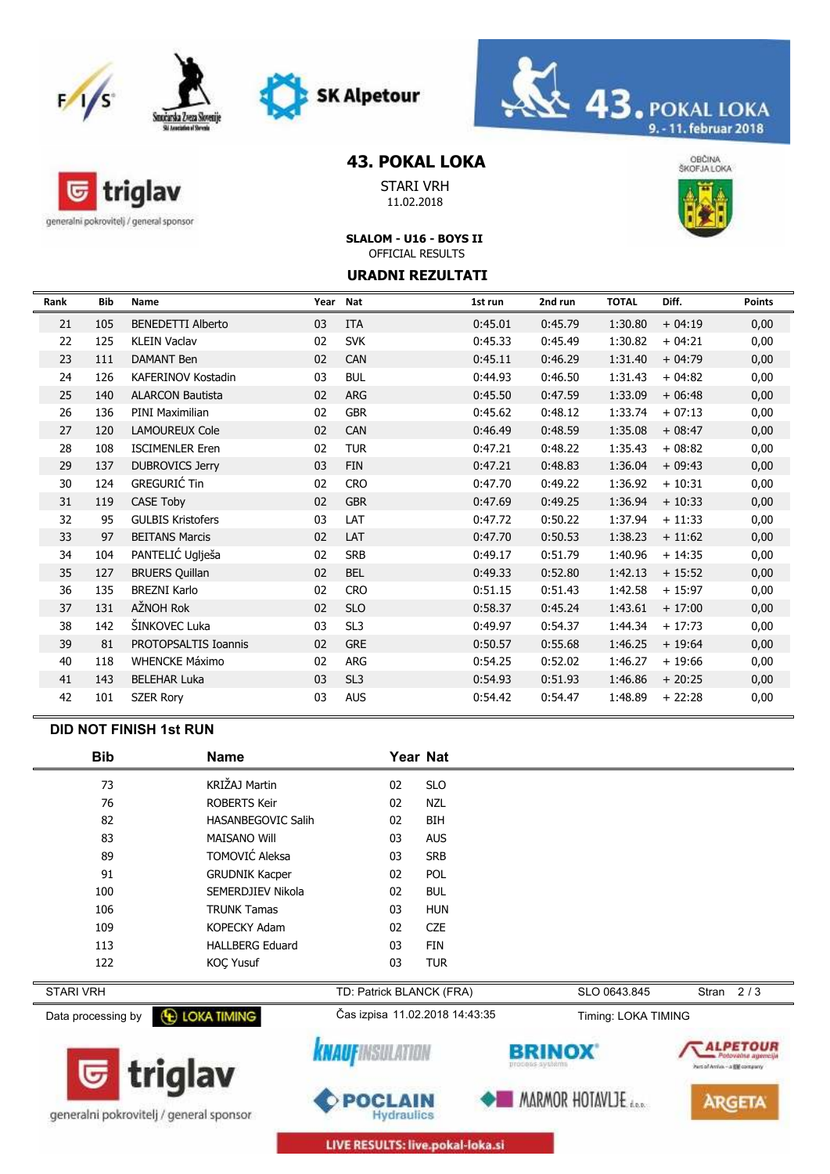





## **43. POKAL LOKA**

STARI VRH 11.02.2018



hunail Antio - a Bill company

**ARGETA** 

MARMOR HOTAVLJE

generalni pokrovitelj / general sponsor

G

triglav

#### **SLALOM - U16 - BOYS II** OFFICIAL RESULTS

#### **URADNI REZULTATI**

| Rank | <b>Bib</b> | Name                      |    | Year Nat        | 1st run | 2nd run | <b>TOTAL</b> | Diff.    | <b>Points</b> |
|------|------------|---------------------------|----|-----------------|---------|---------|--------------|----------|---------------|
| 21   | 105        | <b>BENEDETTI Alberto</b>  | 03 | <b>ITA</b>      | 0:45.01 | 0:45.79 | 1:30.80      | $+04:19$ | 0,00          |
| 22   | 125        | <b>KLEIN Vaclav</b>       | 02 | <b>SVK</b>      | 0:45.33 | 0:45.49 | 1:30.82      | $+04:21$ | 0,00          |
| 23   | 111        | <b>DAMANT Ben</b>         | 02 | <b>CAN</b>      | 0:45.11 | 0:46.29 | 1:31.40      | $+04:79$ | 0,00          |
| 24   | 126        | <b>KAFERINOV Kostadin</b> | 03 | <b>BUL</b>      | 0:44.93 | 0:46.50 | 1:31.43      | $+04:82$ | 0,00          |
| 25   | 140        | <b>ALARCON Bautista</b>   | 02 | <b>ARG</b>      | 0:45.50 | 0:47.59 | 1:33.09      | $+06:48$ | 0,00          |
| 26   | 136        | <b>PINI Maximilian</b>    | 02 | <b>GBR</b>      | 0:45.62 | 0:48.12 | 1:33.74      | $+07:13$ | 0,00          |
| 27   | 120        | <b>LAMOUREUX Cole</b>     | 02 | <b>CAN</b>      | 0:46.49 | 0:48.59 | 1:35.08      | $+08:47$ | 0,00          |
| 28   | 108        | <b>ISCIMENLER Eren</b>    | 02 | <b>TUR</b>      | 0:47.21 | 0:48.22 | 1:35.43      | $+08:82$ | 0,00          |
| 29   | 137        | <b>DUBROVICS Jerry</b>    | 03 | <b>FIN</b>      | 0:47.21 | 0:48.83 | 1:36.04      | $+09:43$ | 0,00          |
| 30   | 124        | <b>GREGURIĆ Tin</b>       | 02 | <b>CRO</b>      | 0:47.70 | 0:49.22 | 1:36.92      | $+10:31$ | 0,00          |
| 31   | 119        | CASE Toby                 | 02 | <b>GBR</b>      | 0:47.69 | 0:49.25 | 1:36.94      | $+10:33$ | 0,00          |
| 32   | 95         | <b>GULBIS Kristofers</b>  | 03 | LAT             | 0:47.72 | 0:50.22 | 1:37.94      | $+11:33$ | 0,00          |
| 33   | 97         | <b>BEITANS Marcis</b>     | 02 | LAT             | 0:47.70 | 0:50.53 | 1:38.23      | $+11:62$ | 0,00          |
| 34   | 104        | PANTELIĆ Uglješa          | 02 | <b>SRB</b>      | 0:49.17 | 0:51.79 | 1:40.96      | $+14:35$ | 0,00          |
| 35   | 127        | <b>BRUERS Quillan</b>     | 02 | <b>BEL</b>      | 0:49.33 | 0:52.80 | 1:42.13      | $+15:52$ | 0,00          |
| 36   | 135        | <b>BREZNI Karlo</b>       | 02 | <b>CRO</b>      | 0:51.15 | 0:51.43 | 1:42.58      | $+15:97$ | 0,00          |
| 37   | 131        | AŽNOH Rok                 | 02 | <b>SLO</b>      | 0:58.37 | 0:45.24 | 1:43.61      | $+17:00$ | 0,00          |
| 38   | 142        | ŠINKOVEC Luka             | 03 | SL3             | 0:49.97 | 0:54.37 | 1:44.34      | $+17:73$ | 0,00          |
| 39   | 81         | PROTOPSALTIS Ioannis      | 02 | <b>GRE</b>      | 0:50.57 | 0:55.68 | 1:46.25      | $+19:64$ | 0,00          |
| 40   | 118        | <b>WHENCKE Máximo</b>     | 02 | <b>ARG</b>      | 0:54.25 | 0:52.02 | 1:46.27      | $+19:66$ | 0,00          |
| 41   | 143        | <b>BELEHAR Luka</b>       | 03 | SL <sub>3</sub> | 0:54.93 | 0:51.93 | 1:46.86      | $+20:25$ | 0,00          |
| 42   | 101        | <b>SZER Rory</b>          | 03 | <b>AUS</b>      | 0:54.42 | 0:54.47 | 1:48.89      | $+22:28$ | 0,00          |

#### **DID NOT FINISH 1st RUN**

| <b>Bib</b>         | <b>Name</b>               | Year Nat                       |            |                     |              |  |
|--------------------|---------------------------|--------------------------------|------------|---------------------|--------------|--|
| 73                 | KRIŽAJ Martin             | 02                             | <b>SLO</b> |                     |              |  |
| 76                 | <b>ROBERTS Keir</b>       | 02                             | <b>NZL</b> |                     |              |  |
| 82                 | <b>HASANBEGOVIC Salih</b> | 02                             | <b>BIH</b> |                     |              |  |
| 83                 | <b>MAISANO Will</b>       | 03                             | <b>AUS</b> |                     |              |  |
| 89                 | TOMOVIĆ Aleksa            | 03                             | <b>SRB</b> |                     |              |  |
| 91                 | <b>GRUDNIK Kacper</b>     | 02                             | <b>POL</b> |                     |              |  |
| 100                | SEMERDJIEV Nikola         | 02                             | <b>BUL</b> |                     |              |  |
| 106                | <b>TRUNK Tamas</b>        | 03                             | <b>HUN</b> |                     |              |  |
| 109                | <b>KOPECKY Adam</b>       | 02                             | <b>CZE</b> |                     |              |  |
| 113                | <b>HALLBERG Eduard</b>    | 03                             | <b>FIN</b> |                     |              |  |
| 122                | <b>KOC Yusuf</b>          | 03                             | <b>TUR</b> |                     |              |  |
| <b>STARI VRH</b>   |                           | TD: Patrick BLANCK (FRA)       |            | SLO 0643.845        | 2/3<br>Stran |  |
| Data processing by | <b>E LOKA TIMING</b>      | Čas izpisa 11.02.2018 14:43:35 |            | Timing: LOKA TIMING |              |  |
|                    | $\blacksquare$            |                                |            | <b>BRINOX</b>       |              |  |



generalni pokrovitelj / general sponsor



LIVE RESULTS: live.pokal-loka.si